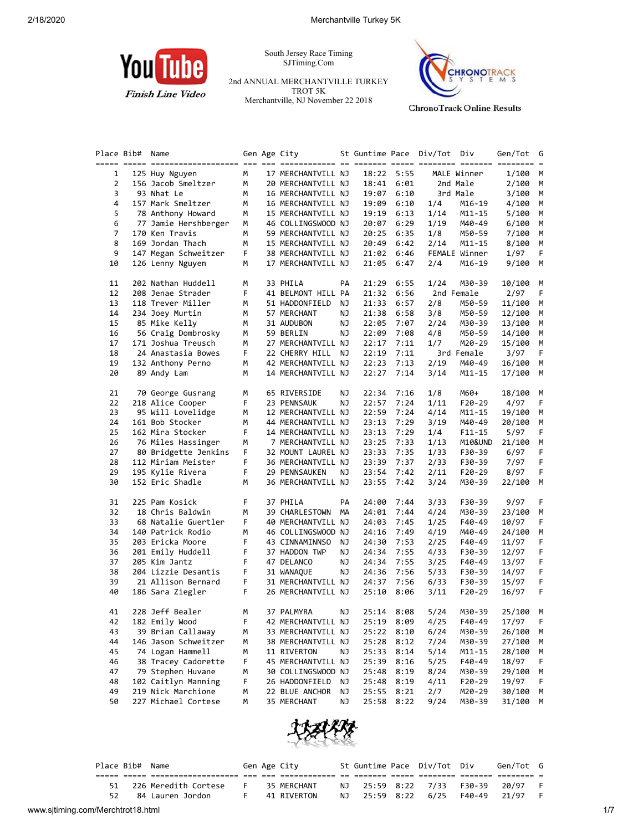

South Jersey Race Timing SJTiming.Com

2nd ANNUAL MERCHANTVILLE TURKEY TROT 5K Merchantville, NJ November 22 2018



**ChronoTrack Online Results** 

| Place Bib# | Name                 |    | Gen Age City       |    | St Guntime Pace Div/Tot Div |            |      |               | Gen/Tot | G  |
|------------|----------------------|----|--------------------|----|-----------------------------|------------|------|---------------|---------|----|
|            |                      |    |                    |    |                             |            |      |               |         |    |
| 1          | 125 Huy Nguyen       | М  | 17 MERCHANTVILL NJ |    |                             | 18:22 5:55 |      | MALE Winner   | 1/100   | M  |
| 2          | 156 Jacob Smeltzer   | М  | 20 MERCHANTVILL NJ |    |                             | 18:41 6:01 |      | 2nd Male      | 2/100   | М  |
| 3          | 93 Nhat Le           | М  | 16 MERCHANTVILL NJ |    | 19:07                       | 6:10       |      | 3rd Male      | 3/100   | М  |
| 4          | 157 Mark Smeltzer    | М  | 16 MERCHANTVILL NJ |    | 19:09                       | 6:10       | 1/4  | M16-19        | 4/100   | М  |
| 5          | 78 Anthony Howard    | М  | 15 MERCHANTVILL NJ |    | 19:19                       | 6:13       | 1/14 | M11-15        | 5/100   | M  |
| 6          | 77 Jamie Hershberger | м  | 46 COLLINGSWOOD NJ |    | 20:07                       | 6:29       | 1/19 | M40-49        | 6/100   | М  |
| 7          | 170 Ken Travis       | м  | 59 MERCHANTVILL NJ |    | 20:25                       | 6:35       | 1/8  | M50-59        | 7/100   | М  |
| 8          | 169 Jordan Thach     | м  | 15 MERCHANTVILL NJ |    | 20:49                       | 6:42       | 2/14 | M11-15        | 8/100   | М  |
| 9          | 147 Megan Schweitzer | F  | 38 MERCHANTVILL NJ |    | 21:02                       | 6:46       |      | FEMALE Winner | 1/97    | F  |
| 10         | 126 Lenny Nguyen     | м  | 17 MERCHANTVILL NJ |    | 21:05                       | 6:47       | 2/4  | M16-19        | 9/100   | М  |
| 11         | 202 Nathan Huddell   | М  | 33 PHILA           | PA | 21:29                       | 6:55       | 1/24 | M30-39        | 10/100  | M  |
| 12         | 208 Jenae Strader    | F  | 41 BELMONT HILL PA |    | 21:32                       | 6:56       |      | 2nd Female    | 2/97    | F  |
| 13         | 118 Trever Miller    | м  | 51 HADDONFIELD     | ΝJ | 21:33                       | 6:57       | 2/8  | M50-59        | 11/100  | M  |
| 14         | 234 Joey Murtin      | М  | 57 MERCHANT        | ΝJ | 21:38                       | 6:58       | 3/8  | M50-59        | 12/100  | М  |
| 15         | 85 Mike Kelly        | М  | 31 AUDUBON         | ΝJ | 22:05                       | 7:07       | 2/24 | M30-39        | 13/100  | М  |
| 16         | 56 Craig Dombrosky   | м  | 59 BERLIN          | ΝJ | 22:09                       | 7:08       | 4/8  | M50-59        | 14/100  | М  |
| 17         | 171 Joshua Treusch   | м  | 27 MERCHANTVILL NJ |    | 22:17                       | 7:11       | 1/7  | M20-29        | 15/100  | M  |
| 18         | 24 Anastasia Bowes   | F  | 22 CHERRY HILL NJ  |    | 22:19                       | 7:11       |      | 3rd Female    | 3/97    | F. |
| 19         | 132 Anthony Perno    | м  | 42 MERCHANTVILL NJ |    | 22:23                       | 7:13       | 2/19 | M40-49        | 16/100  | М  |
| 20         | 89 Andy Lam          | М  | 14 MERCHANTVILL NJ |    | 22:27                       | 7:14       | 3/14 | M11-15        | 17/100  | М  |
| 21         | 70 George Gusrang    | м  | 65 RIVERSIDE       | ΝJ | 22:34                       | 7:16       | 1/8  | M60+          | 18/100  | M  |
| 22         | 218 Alice Cooper     | F  | 23 PENNSAUK        | ΝJ | 22:57                       | 7:24       | 1/11 | $F20-29$      | 4/97    | F. |
| 23         | 95 Will Lovelidge    | м  | 12 MERCHANTVILL NJ |    | 22:59                       | 7:24       | 4/14 | M11-15        | 19/100  | М  |
| 24         | 161 Bob Stocker      | м  | 44 MERCHANTVILL NJ |    | 23:13                       | 7:29       | 3/19 | M40-49        | 20/100  | М  |
| 25         | 162 Mira Stocker     | F  | 14 MERCHANTVILL NJ |    | 23:13                       | 7:29       | 1/4  | $F11 - 15$    | 5/97    | F. |
| 26         | 76 Miles Hassinger   | м  | 7 MERCHANTVILL NJ  |    | 23:25                       | 7:33       | 1/13 | M10&UND       | 21/100  | М  |
| 27         | 80 Bridgette Jenkins | F  | 32 MOUNT LAUREL NJ |    | 23:33                       | 7:35       | 1/33 | F30-39        | 6/97    | F  |
| 28         | 112 Miriam Meister   | F  | 36 MERCHANTVILL NJ |    | 23:39                       | 7:37       | 2/33 | F30-39        | 7/97    | F  |
| 29         | 195 Kylie Rivera     | F  | 29 PENNSAUKEN      | ΝJ | 23:54                       | 7:42       | 2/11 | F20-29        | 8/97    | F  |
| 30         | 152 Eric Shadle      | м  | 36 MERCHANTVILL NJ |    | 23:55                       | 7:42       | 3/24 | M30-39        | 22/100  | М  |
| 31         | 225 Pam Kosick       | F  | 37 PHILA           | PA | 24:00                       | 7:44       | 3/33 | F30-39        | 9/97    | F. |
| 32         | 18 Chris Baldwin     | м  | 39 CHARLESTOWN MA  |    | 24:01                       | 7:44       | 4/24 | M30-39        | 23/100  | М  |
| 33         | 68 Natalie Guertler  | F  | 40 MERCHANTVILL NJ |    | 24:03                       | 7:45       | 1/25 | F40-49        | 10/97   | F. |
| 34         | 140 Patrick Rodio    | М  | 46 COLLINGSWOOD NJ |    | 24:16                       | 7:49       | 4/19 | M40-49        | 24/100  | М  |
| 35         | 203 Ericka Moore     | F  | 43 CINNAMINNSO     | ΝJ | 24:30                       | 7:53       | 2/25 | F40-49        | 11/97   | F  |
| 36         | 201 Emily Huddell    | F  | 37 HADDON TWP      | ΝJ | 24:34                       | 7:55       | 4/33 | F30-39        | 12/97   | F  |
| 37         | 205 Kim Jantz        | F  | 47 DELANCO         | ΝJ | 24:34                       | 7:55       | 3/25 | F40-49        | 13/97   | F  |
| 38         | 204 Lizzie Desantis  | F  | 31 WANAQUE         | ΝJ | 24:36                       | 7:56       | 5/33 | F30-39        | 14/97   | F  |
| 39         | 21 Allison Bernard   | F  | 31 MERCHANTVILL NJ |    | 24:37                       | 7:56       | 6/33 | F30-39        | 15/97   | F  |
| 40         | 186 Sara Ziegler     | F. | 26 MERCHANTVILL NJ |    | 25:10                       | 8:06       | 3/11 | $F20-29$      | 16/97   | F. |
|            |                      |    |                    |    |                             |            |      |               |         |    |
| 41         | 228 Jeff Bealer      | М  | 37 PALMYRA         | ΝJ |                             | 25:14 8:08 | 5/24 | M30-39        | 25/100  | M  |
| 42         | 182 Emily Wood       | F  | 42 MERCHANTVILL NJ |    |                             | 25:19 8:09 | 4/25 | F40-49        | 17/97   | F  |
| 43         | 39 Brian Callaway    | м  | 33 MERCHANTVILL NJ |    |                             | 25:22 8:10 | 6/24 | M30-39        | 26/100  | M  |
| 44         | 146 Jason Schweitzer | м  | 38 MERCHANTVILL NJ |    | 25:28                       | 8:12       | 7/24 | M30-39        | 27/100  | м  |
| 45         | 74 Logan Hammell     | м  | 11 RIVERTON        | ΝJ | 25:33                       | 8:14       | 5/14 | M11-15        | 28/100  | м  |
| 46         | 38 Tracey Cadorette  | F  | 45 MERCHANTVILL NJ |    | 25:39                       | 8:16       | 5/25 | F40-49        | 18/97   | F  |
| 47         | 79 Stephen Huvane    | м  | 30 COLLINGSWOOD NJ |    | 25:48                       | 8:19       | 8/24 | M30-39        | 29/100  | м  |
| 48         | 102 Caitlyn Manning  | F  | 26 HADDONFIELD     | ΝJ | 25:48                       | 8:19       | 4/11 | F20-29        | 19/97   | F  |
| 49         | 219 Nick Marchione   | м  | 22 BLUE ANCHOR     | ΝJ | 25:55                       | 8:21       | 2/7  | M20-29        | 30/100  | М  |
| 50         | 227 Michael Cortese  | М  | 35 MERCHANT        | ΝJ | 25:58                       | 8:22       | 9/24 | M30-39        | 31/100  | М  |



|     | Place Bib# Name |                         |  | Gen Age City |  | St Guntime Pace Div/Tot Div | Gen/Tot G                         |  |
|-----|-----------------|-------------------------|--|--------------|--|-----------------------------|-----------------------------------|--|
|     |                 |                         |  |              |  |                             |                                   |  |
|     |                 | 51 226 Meredith Cortese |  | 35 MERCHANT  |  |                             | NJ 25:59 8:22 7/33 F30-39 20/97 F |  |
| 52. |                 | 84 Lauren Jordon        |  | 41 RIVERTON  |  | NJ 25:59 8:22 6/25 F40-49   | 21/97 F                           |  |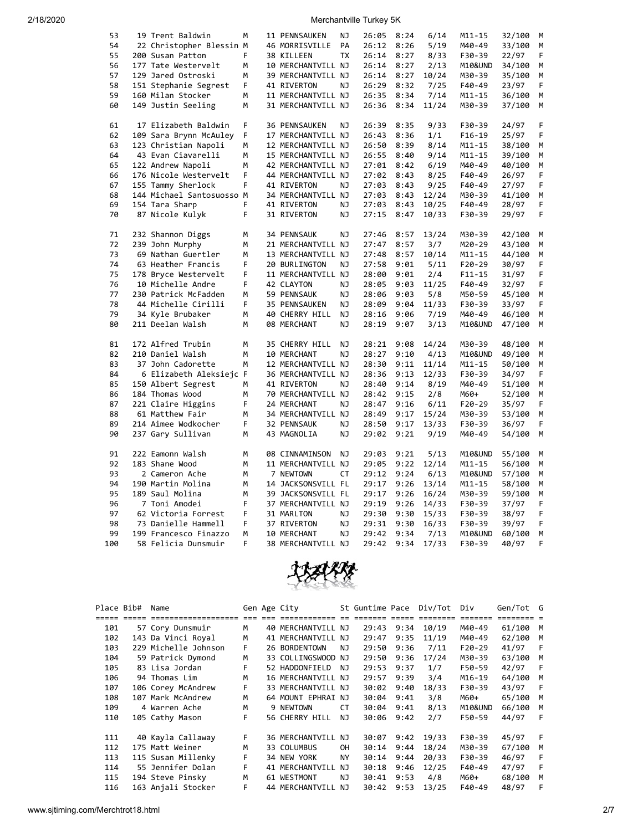| 53  | 19 Trent Baldwin          | м | 11 PENNSAUKEN      | ΝJ        | 26:05 | 8:24         | 6/14  | $M11 - 15$ | 32/100 | M |
|-----|---------------------------|---|--------------------|-----------|-------|--------------|-------|------------|--------|---|
| 54  | 22 Christopher Blessin M  |   | 46 MORRISVILLE     | PA        | 26:12 | 8:26         | 5/19  | M40-49     | 33/100 | M |
| 55  | 200 Susan Patton          | F | 38 KILLEEN         | <b>TX</b> | 26:14 | 8:27         | 8/33  | F30-39     | 22/97  | F |
| 56  | 177 Tate Westervelt       | M | 10 MERCHANTVILL NJ |           | 26:14 | 8:27         | 2/13  | M10&UND    | 34/100 | M |
| 57  | 129 Jared Ostroski        | M | 39 MERCHANTVILL NJ |           | 26:14 | 8:27         | 10/24 | M30-39     | 35/100 | M |
| 58  | 151 Stephanie Segrest     | F | 41 RIVERTON        | ΝJ        | 26:29 | 8:32         | 7/25  | F40-49     | 23/97  | F |
| 59  | 160 Milan Stocker         | M | 11 MERCHANTVILL NJ |           | 26:35 | 8:34         | 7/14  | M11-15     | 36/100 | M |
| 60  | 149 Justin Seeling        | M | 31 MERCHANTVILL NJ |           | 26:36 | 8:34         | 11/24 | M30-39     | 37/100 | M |
|     |                           |   |                    |           |       |              |       |            |        |   |
| 61  | 17 Elizabeth Baldwin      | F | 36 PENNSAUKEN      | ΝJ        | 26:39 | 8:35         | 9/33  | F30-39     | 24/97  | F |
| 62  | 109 Sara Brynn McAuley    | F | 17 MERCHANTVILL NJ |           | 26:43 | 8:36         | 1/1   | $F16-19$   | 25/97  | F |
| 63  | 123 Christian Napoli      | M | 12 MERCHANTVILL NJ |           | 26:50 | 8:39         | 8/14  | $M11 - 15$ | 38/100 | М |
| 64  | 43 Evan Ciavarelli        | M | 15 MERCHANTVILL NJ |           | 26:55 | 8:40         | 9/14  | M11-15     | 39/100 | М |
| 65  | 122 Andrew Napoli         | M | 42 MERCHANTVILL NJ |           | 27:01 | 8:42         | 6/19  | M40-49     | 40/100 | М |
| 66  | 176 Nicole Westervelt     | F | 44 MERCHANTVILL NJ |           | 27:02 | 8:43         | 8/25  | F40-49     | 26/97  | F |
| 67  | 155 Tammy Sherlock        | F | 41 RIVERTON        | ΝJ        | 27:03 | 8:43         | 9/25  | F40-49     | 27/97  | F |
|     |                           |   |                    |           |       |              |       |            |        |   |
| 68  | 144 Michael Santosuosso M |   | 34 MERCHANTVILL NJ |           | 27:03 | 8:43         | 12/24 | M30-39     | 41/100 | M |
| 69  | 154 Tara Sharp            | F | 41 RIVERTON        | ΝJ        | 27:03 | 8:43         | 10/25 | F40-49     | 28/97  | F |
| 70  | 87 Nicole Kulyk           | F | 31 RIVERTON        | ΝJ        | 27:15 | 8:47         | 10/33 | F30-39     | 29/97  | F |
|     |                           |   |                    |           |       |              |       |            |        |   |
| 71  | 232 Shannon Diggs         | M | 34 PENNSAUK        | ΝJ        | 27:46 | 8:57         | 13/24 | M30-39     | 42/100 | M |
| 72  | 239 John Murphy           | M | 21 MERCHANTVILL NJ |           | 27:47 | 8:57         | 3/7   | M20-29     | 43/100 | M |
| 73  | 69 Nathan Guertler        | M | 13 MERCHANTVILL NJ |           | 27:48 | 8:57         | 10/14 | M11-15     | 44/100 | M |
| 74  | 63 Heather Francis        | F | 20 BURLINGTON      | ΝJ        | 27:58 | 9:01         | 5/11  | $F20-29$   | 30/97  | F |
| 75  | 178 Bryce Westervelt      | F | 11 MERCHANTVILL NJ |           | 28:00 | 9:01         | 2/4   | $F11 - 15$ | 31/97  | F |
| 76  | 10 Michelle Andre         | F | 42 CLAYTON         | NJ        | 28:05 | 9:03         | 11/25 | $F40-49$   | 32/97  | F |
| 77  | 230 Patrick McFadden      | М | 59 PENNSAUK        | ΝJ        | 28:06 | 9:03         | 5/8   | M50-59     | 45/100 | M |
| 78  | 44 Michelle Cirilli       | F | 35 PENNSAUKEN      | ΝJ        | 28:09 | 9:04         | 11/33 | F30-39     | 33/97  | F |
| 79  | 34 Kyle Brubaker          | М | 40 CHERRY HILL     | ΝJ        | 28:16 | 9:06         | 7/19  | M40-49     | 46/100 | М |
| 80  | 211 Deelan Walsh          | M | 08 MERCHANT        | NJ        | 28:19 | 9:07         | 3/13  | M10&UND    | 47/100 | M |
|     |                           |   |                    |           |       |              |       |            |        |   |
| 81  | 172 Alfred Trubin         | M | 35 CHERRY HILL     | NJ.       | 28:21 | 9:08         | 14/24 | M30-39     | 48/100 | M |
| 82  | 210 Daniel Walsh          | M | 10 MERCHANT        | <b>NJ</b> | 28:27 | 9:10         | 4/13  | M10&UND    | 49/100 | М |
| 83  | 37 John Cadorette         | M | 12 MERCHANTVILL NJ |           | 28:30 | 9:11         | 11/14 | M11-15     | 50/100 | M |
| 84  | 6 Elizabeth Aleksiejc F   |   | 36 MERCHANTVILL NJ |           | 28:36 | 9:13         | 12/33 | F30-39     | 34/97  | F |
| 85  | 150 Albert Segrest        | М | 41 RIVERTON        | ΝJ        | 28:40 | 9:14         | 8/19  | M40-49     | 51/100 | М |
| 86  | 184 Thomas Wood           | М | 70 MERCHANTVILL NJ |           | 28:42 | 9:15         | 2/8   | M60+       | 52/100 | М |
| 87  | 221 Claire Higgins        | F | 24 MERCHANT        | ΝJ        | 28:47 | 9:16         | 6/11  | $F20-29$   | 35/97  | F |
| 88  | 61 Matthew Fair           | М | 34 MERCHANTVILL NJ |           | 28:49 | 9:17         | 15/24 | M30-39     | 53/100 | M |
| 89  | 214 Aimee Wodkocher       | F | 32 PENNSAUK        | ΝJ        | 28:50 | 9:17         | 13/33 | F30-39     | 36/97  | F |
| 90  | 237 Gary Sullivan         | М | 43 MAGNOLIA        | ΝJ        | 29:02 | 9:21         | 9/19  | M40-49     | 54/100 | М |
|     |                           |   |                    |           |       |              |       |            |        |   |
| 91  | 222 Eamonn Walsh          | M | 08 CINNAMINSON     | NJ        | 29:03 | 9:21         | 5/13  | M10&UND    | 55/100 | М |
| 92  | 183 Shane Wood            | M | 11 MERCHANTVILL NJ |           | 29:05 | 9:22         | 12/14 | M11-15     | 56/100 | M |
| 93  | 2 Cameron Ache            | M | 7 NEWTOWN          | СT        | 29:12 | 9:24         | 6/13  | M10&UND    | 57/100 | M |
| 94  | 190 Martin Molina         | М | 14 JACKSONSVILL FL |           | 29:17 | 9:26         | 13/14 | $M11 - 15$ | 58/100 | М |
| 95  | 189 Saul Molina           | M | 39 JACKSONSVILL FL |           | 29:17 | 9:26         | 16/24 | M30-39     | 59/100 | M |
| 96  | 7 Toni Amodei             | F | 37 MERCHANTVILL NJ |           | 29:19 | 9:26         | 14/33 | F30-39     | 37/97  | F |
| 97  | 62 Victoria Forrest       | F | 31 MARLTON         | ΝJ        | 29:30 | 9:30         |       |            |        | F |
| 98  | 73 Danielle Hammell       | F |                    |           |       |              | 15/33 | F30-39     | 38/97  | F |
| 99  |                           |   | 37 RIVERTON        | ΝJ        | 29:31 | 9:30<br>9:34 | 16/33 | F30-39     | 39/97  |   |
|     | 199 Francesco Finazzo     | M | 10 MERCHANT        | NJ        | 29:42 |              | 7/13  | M10&UND    | 60/100 | M |
| 100 | 58 Felicia Dunsmuir       | F | 38 MERCHANTVILL NJ |           | 29:42 | 9:34         | 17/33 | F30-39     | 40/97  | F |



| Place Bib# | Name                                                     |    | Gen Age City       |           |       |        | St Guntime Pace Div/Tot | Div                     | Gen/Tot G |     |
|------------|----------------------------------------------------------|----|--------------------|-----------|-------|--------|-------------------------|-------------------------|-----------|-----|
|            | <u> 2222 2222 232312231231231231</u> 232 232 23332313332 |    |                    |           | ----- | ------ | ========                | $=$ $=$ $=$ $=$ $=$ $=$ |           |     |
| 101        | 57 Cory Dunsmuir                                         | м  | 40 MERCHANTVILL NJ |           | 29:43 | 9:34   | 10/19                   | M40-49                  | 61/100 M  |     |
| 102        | 143 Da Vinci Royal                                       | М  | 41 MERCHANTVILL NJ |           | 29:47 | 9:35   | 11/19                   | M40-49                  | 62/100    | M   |
| 103        | 229 Michelle Johnson                                     | F. | 26 BORDENTOWN      | NJ        | 29:50 | 9:36   | 7/11                    | $F20-29$                | 41/97     | - F |
| 104        | 59 Patrick Dymond                                        | M  | 33 COLLINGSWOOD NJ |           | 29:50 | 9:36   | 17/24                   | M30-39                  | 63/100 M  |     |
| 105        | 83 Lisa Jordan                                           | F. | 52 HADDONFIELD     | NJ        | 29:53 | 9:37   | 1/7                     | F50-59                  | 42/97     | - F |
| 106        | 94 Thomas Lim                                            | м  | 16 MERCHANTVILL NJ |           | 29:57 | 9:39   | 3/4                     | M16-19                  | 64/100    | M   |
| 107        | 106 Corey McAndrew                                       | F. | 33 MERCHANTVILL NJ |           | 30:02 | 9:40   | 18/33                   | F30-39                  | 43/97     | - F |
| 108        | 107 Mark McAndrew                                        | М  | 64 MOUNT EPHRAI NJ |           | 30:04 | 9:41   | 3/8                     | M60+                    | 65/100    | M   |
| 109        | 4 Warren Ache                                            | М  | 9 NEWTOWN          | СT        | 30:04 | 9:41   | 8/13                    | M10&UND                 | 66/100    | M   |
| 110        | 105 Cathy Mason                                          | F. | 56 CHERRY HILL     | NJ        | 30:06 | 9:42   | 2/7                     | F50-59                  | 44/97     | -F  |
| 111        | 40 Kayla Callaway                                        | F  | 36 MERCHANTVILL NJ |           | 30:07 | 9:42   | 19/33                   | F30-39                  | 45/97     | -F  |
| 112        | 175 Matt Weiner                                          | M  | 33 COLUMBUS        | 0H        | 30:14 | 9:44   | 18/24                   | M30-39                  | 67/100    | M   |
| 113        | 115 Susan Millenky                                       | F  | 34 NEW YORK        | <b>NY</b> | 30:14 | 9:44   | 20/33                   | F30-39                  | 46/97     | -F  |
| 114        | 55 Jennifer Dolan                                        | F  | 41 MERCHANTVILL    | NJ        | 30:18 | 9:46   | 12/25                   | F40-49                  | 47/97     | -F  |
| 115        | 194 Steve Pinsky                                         | M  | 61 WESTMONT        | NJ        | 30:41 | 9:53   | 4/8                     | M60+                    | 68/100    | М   |
| 116        | 163 Anjali Stocker                                       | F. | 44 MERCHANTVILL NJ |           | 30:42 | 9:53   | 13/25                   | F40-49                  | 48/97     | F   |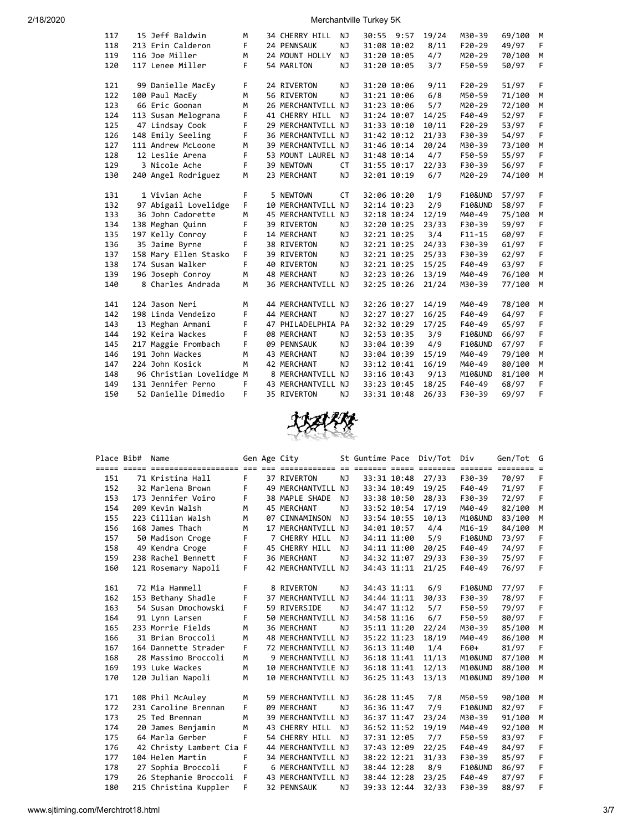| 117 | 15 Jeff Baldwin          | м | 34 CHERRY HILL     | ΝJ        | 30:55 9:57  | 19/24 | M30-39             | 69/100 | M |
|-----|--------------------------|---|--------------------|-----------|-------------|-------|--------------------|--------|---|
| 118 | 213 Erin Calderon        | F | 24 PENNSAUK        | NJ        | 31:08 10:02 | 8/11  | $F20-29$           | 49/97  | F |
| 119 | 116 Joe Miller           | м | 24 MOUNT HOLLY     | NJ        | 31:20 10:05 | 4/7   | M20-29             | 70/100 | M |
| 120 | 117 Lenee Miller         | F | 54 MARLTON         | NJ        | 31:20 10:05 | 3/7   | F50-59             | 50/97  | F |
|     |                          |   |                    |           |             |       |                    |        |   |
| 121 | 99 Danielle MacEy        | F | 24 RIVERTON        | NJ        | 31:20 10:06 | 9/11  | $F20-29$           | 51/97  | F |
| 122 | 100 Paul MacEy           | M | 56 RIVERTON        | NJ        | 31:21 10:06 | 6/8   | M50-59             | 71/100 | M |
| 123 | 66 Eric Goonan           | M | 26 MERCHANTVILL NJ |           | 31:23 10:06 | 5/7   | M20-29             | 72/100 | M |
| 124 | 113 Susan Melograna      | F | 41 CHERRY HILL     | NJ        | 31:24 10:07 | 14/25 | F40-49             | 52/97  | F |
| 125 | 47 Lindsay Cook          | F | 29 MERCHANTVILL NJ |           | 31:33 10:10 | 10/11 | $F20-29$           | 53/97  | F |
| 126 | 148 Emily Seeling        | F | 36 MERCHANTVILL NJ |           | 31:42 10:12 | 21/33 | F30-39             | 54/97  | F |
| 127 | 111 Andrew McLoone       | M | 39 MERCHANTVILL NJ |           | 31:46 10:14 | 20/24 | M30-39             | 73/100 | М |
| 128 | 12 Leslie Arena          | F | 53 MOUNT LAUREL NJ |           | 31:48 10:14 | 4/7   | F50-59             | 55/97  | F |
| 129 | 3 Nicole Ache            | F | 39 NEWTOWN         | <b>CT</b> | 31:55 10:17 | 22/33 | F30-39             | 56/97  | F |
| 130 | 240 Angel Rodriguez      | M | 23 MERCHANT        | ΝJ        | 32:01 10:19 | 6/7   | M20-29             | 74/100 | M |
|     |                          |   |                    |           |             |       |                    |        |   |
| 131 | 1 Vivian Ache            | F | 5 NEWTOWN          | <b>CT</b> | 32:06 10:20 | 1/9   | <b>F10&amp;UND</b> | 57/97  | F |
| 132 | 97 Abigail Lovelidge     | F | 10 MERCHANTVILL NJ |           | 32:14 10:23 | 2/9   | <b>F10&amp;UND</b> | 58/97  | F |
| 133 | 36 John Cadorette        | M | 45 MERCHANTVILL NJ |           | 32:18 10:24 | 12/19 | M40-49             | 75/100 | М |
| 134 | 138 Meghan Quinn         | F | 39 RIVERTON        | NJ        | 32:20 10:25 | 23/33 | F30-39             | 59/97  | F |
| 135 | 197 Kelly Conroy         | F | 14 MERCHANT        | NJ        | 32:21 10:25 | 3/4   | $F11 - 15$         | 60/97  | F |
| 136 | 35 Jaime Byrne           | F | 38 RIVERTON        | ΝJ        | 32:21 10:25 | 24/33 | F30-39             | 61/97  | F |
| 137 | 158 Mary Ellen Stasko    | F | 39 RIVERTON        | NJ        | 32:21 10:25 | 25/33 | F30-39             | 62/97  | F |
| 138 | 174 Susan Walker         | F | 40 RIVERTON        | NJ        | 32:21 10:25 | 15/25 | $F40-49$           | 63/97  | F |
| 139 | 196 Joseph Conroy        | M | 48 MERCHANT        | NJ        | 32:23 10:26 | 13/19 | M40-49             | 76/100 | M |
| 140 | 8 Charles Andrada        | M | 36 MERCHANTVILL NJ |           | 32:25 10:26 | 21/24 | M30-39             | 77/100 | M |
|     |                          |   |                    |           |             |       |                    |        |   |
| 141 | 124 Jason Neri           | M | 44 MERCHANTVILL NJ |           | 32:26 10:27 | 14/19 | M40-49             | 78/100 | M |
| 142 | 198 Linda Vendeizo       | F | 44 MERCHANT        | NJ        | 32:27 10:27 | 16/25 | $F40-49$           | 64/97  | F |
| 143 | 13 Meghan Armani         | F | 47 PHILADELPHIA PA |           | 32:32 10:29 | 17/25 | $F40-49$           | 65/97  | F |
| 144 | 192 Keira Wackes         | F | 08 MERCHANT        | NJ        | 32:53 10:35 | 3/9   | <b>F10&amp;UND</b> | 66/97  | F |
| 145 | 217 Maggie Frombach      | F | 09 PENNSAUK        | NJ        | 33:04 10:39 | 4/9   | <b>F10&amp;UND</b> | 67/97  | F |
| 146 | 191 John Wackes          | M | 43 MERCHANT        | NJ        | 33:04 10:39 | 15/19 | M40-49             | 79/100 | M |
| 147 | 224 John Kosick          | M | 42 MERCHANT        | NJ        | 33:12 10:41 | 16/19 | M40-49             | 80/100 | M |
| 148 | 96 Christian Lovelidge M |   | 8 MERCHANTVILL NJ  |           | 33:16 10:43 | 9/13  | M10&UND            | 81/100 | M |
| 149 | 131 Jennifer Perno       | F | 43 MERCHANTVILL NJ |           | 33:23 10:45 | 18/25 | $F40-49$           | 68/97  | F |
| 150 | 52 Danielle Dimedio      | F | 35 RIVERTON        | NJ        | 33:31 10:48 | 26/33 | F30-39             | 69/97  | F |



| Place Bib# | Name                     |    | Gen Age City       |           | St Guntime Pace |             | Div/Tot | Div        | Gen/Tot | G  |
|------------|--------------------------|----|--------------------|-----------|-----------------|-------------|---------|------------|---------|----|
|            |                          |    |                    |           |                 |             |         |            |         |    |
| 151        | 71 Kristina Hall         | F. | 37 RIVERTON        | <b>NJ</b> | 33:31 10:48     |             | 27/33   | F30-39     | 70/97   | F  |
| 152        | 32 Marlena Brown         | F  | 49 MERCHANTVILL NJ |           | 33:34 10:49     |             | 19/25   | F40-49     | 71/97   | F  |
| 153        | 173 Jennifer Voiro       | F  | 38 MAPLE SHADE     | NJ        |                 | 33:38 10:50 | 28/33   | F30-39     | 72/97   | F  |
| 154        | 209 Kevin Walsh          | M  | 45 MERCHANT        | NJ        |                 | 33:52 10:54 | 17/19   | M40-49     | 82/100  | M  |
| 155        | 223 Cillian Walsh        | M  | 07 CINNAMINSON     | <b>NJ</b> |                 | 33:54 10:55 | 10/13   | M10&UND    | 83/100  | M  |
| 156        | 168 James Thach          | M  | 17 MERCHANTVILL NJ |           | 34:01 10:57     |             | 4/4     | $M16 - 19$ | 84/100  | M  |
| 157        | 50 Madison Croge         | F  | 7 CHERRY HILL      | NJ        |                 | 34:11 11:00 | 5/9     | F10&UND    | 73/97   | F  |
| 158        | 49 Kendra Croge          | F  | 45 CHERRY HILL     | <b>NJ</b> |                 | 34:11 11:00 | 20/25   | F40-49     | 74/97   | F  |
| 159        | 238 Rachel Bennett       | F  | 36 MERCHANT        | NJ.       |                 | 34:32 11:07 | 29/33   | F30-39     | 75/97   | F  |
| 160        | 121 Rosemary Napoli      | F. | 42 MERCHANTVILL NJ |           |                 | 34:43 11:11 | 21/25   | F40-49     | 76/97   | F  |
|            |                          |    |                    |           |                 |             |         |            |         |    |
| 161        | 72 Mia Hammell           | F  | 8 RIVERTON         | NJ        | 34:43 11:11     |             | 6/9     | F10&UND    | 77/97   | F  |
| 162        | 153 Bethany Shadle       | F  | 37 MERCHANTVILL NJ |           | 34:44 11:11     |             | 30/33   | F30-39     | 78/97   | F  |
| 163        | 54 Susan Dmochowski      | F  | 59 RIVERSIDE       | <b>NJ</b> | 34:47 11:12     |             | 5/7     | F50-59     | 79/97   | F  |
| 164        | 91 Lynn Larsen           | F  | 50 MERCHANTVILL NJ |           |                 | 34:58 11:16 | 6/7     | F50-59     | 80/97   | F. |
| 165        | 233 Morrie Fields        | M  | 36 MERCHANT        | NJ        |                 | 35:11 11:20 | 22/24   | M30-39     | 85/100  | M  |
| 166        | 31 Brian Broccoli        | M  | 48 MERCHANTVILL NJ |           | 35:22 11:23     |             | 18/19   | M40-49     | 86/100  | M  |
| 167        | 164 Dannette Strader     | F. | 72 MERCHANTVILL NJ |           |                 | 36:13 11:40 | 1/4     | F60+       | 81/97   | F  |
| 168        | 28 Massimo Broccoli      | M  | 9 MERCHANTVILL NJ  |           |                 | 36:18 11:41 | 11/13   | M10&UND    | 87/100  | M  |
| 169        | 193 Luke Wackes          | M  | 10 MERCHANTVILE NJ |           |                 | 36:18 11:41 | 12/13   | M10&UND    | 88/100  | M  |
| 170        | 120 Julian Napoli        | M  | 10 MERCHANTVILL NJ |           |                 | 36:25 11:43 | 13/13   | M10&UND    | 89/100  | M  |
|            |                          |    |                    |           |                 |             |         |            |         |    |
| 171        | 108 Phil McAuley         | M  | 59 MERCHANTVILL NJ |           |                 | 36:28 11:45 | 7/8     | M50-59     | 90/100  | M  |
| 172        | 231 Caroline Brennan     | F  | 09 MERCHANT        | NJ        |                 | 36:36 11:47 | 7/9     | F10&UND    | 82/97   | F  |
| 173        | 25 Ted Brennan           | M  | 39 MERCHANTVILL NJ |           |                 | 36:37 11:47 | 23/24   | M30-39     | 91/100  | M  |
| 174        | 20 James Benjamin        | M  | 43 CHERRY HILL     | NJ        |                 | 36:52 11:52 | 19/19   | M40-49     | 92/100  | М  |
| 175        | 64 Marla Gerber          | F  | 54 CHERRY HILL     | <b>NJ</b> |                 | 37:31 12:05 | 7/7     | F50-59     | 83/97   | F  |
| 176        | 42 Christy Lambert Cia F |    | 44 MERCHANTVILL NJ |           |                 | 37:43 12:09 | 22/25   | F40-49     | 84/97   | F  |
| 177        | 104 Helen Martin         | F  | 34 MERCHANTVILL NJ |           | 38:22 12:21     |             | 31/33   | F30-39     | 85/97   | F  |
| 178        | 27 Sophia Broccoli       | F  | 6 MERCHANTVILL NJ  |           | 38:44 12:28     |             | 8/9     | F10&UND    | 86/97   | F  |
| 179        | 26 Stephanie Broccoli    | F. | 43 MERCHANTVILL NJ |           | 38:44 12:28     |             | 23/25   | F40-49     | 87/97   | F  |
| 180        | 215 Christina Kuppler    | F  | 32 PENNSAUK        | ΝJ        |                 | 39:33 12:44 | 32/33   | F30-39     | 88/97   | F  |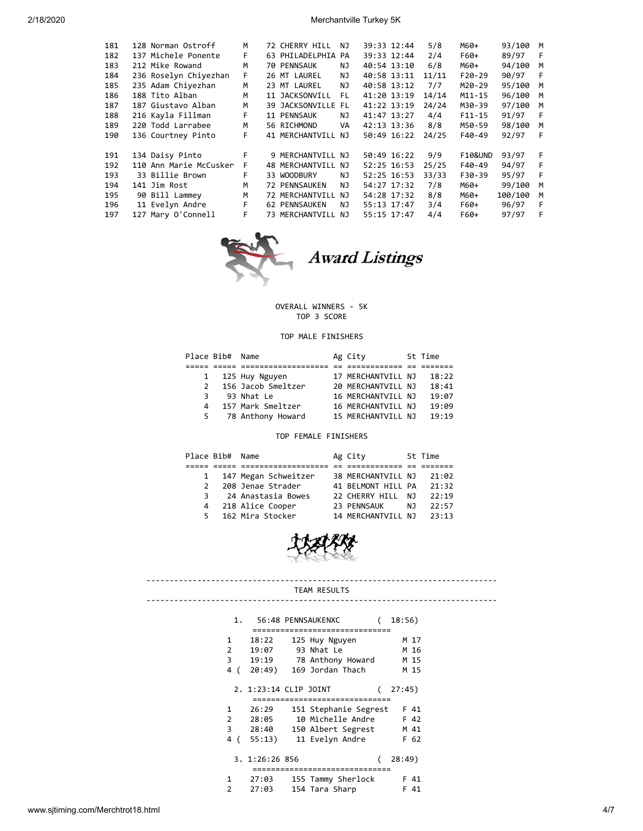| 181 | 128 Norman Ostroff     | M  | 72 CHERRY HILL     | ΝJ   | 39:33 12:44 | 5/8   | M60+               | 93/100   | M        |
|-----|------------------------|----|--------------------|------|-------------|-------|--------------------|----------|----------|
| 182 | 137 Michele Ponente    | F. | 63 PHILADELPHIA PA |      | 39:33 12:44 | 2/4   | F60+               | 89/97    | - F      |
| 183 | 212 Mike Rowand        | M  | 70 PENNSAUK        | ΝJ   | 40:54 13:10 | 6/8   | M60+               | 94/100   | M        |
| 184 | 236 Roselyn Chiyezhan  | F. | 26 MT LAUREL       | NJ.  | 40:58 13:11 | 11/11 | $F20-29$           | 90/97    | - F      |
| 185 | 235 Adam Chiyezhan     | M  | 23 MT LAUREL       | NJ.  | 40:58 13:12 | 7/7   | M20-29             | 95/100   | <b>M</b> |
| 186 | 188 Tito Alban         | M  | 11 JACKSONVILL     | - FL | 41:20 13:19 | 14/14 | $M11 - 15$         | 96/100   | M        |
| 187 | 187 Giustavo Alban     | M  | 39 JACKSONVILLE FL |      | 41:22 13:19 | 24/24 | M30-39             | 97/100   | <b>M</b> |
| 188 | 216 Kayla Fillman      | F  | 11 PENNSAUK        | NJ   | 41:47 13:27 | 4/4   | $F11 - 15$         | 91/97    | - F      |
| 189 | 220 Todd Larrabee      | M  | 56 RICHMOND        | VA   | 42:13 13:36 | 8/8   | M50-59             | 98/100 M |          |
| 190 | 136 Courtney Pinto     | F  | 41 MERCHANTVILL NJ |      | 50:49 16:22 | 24/25 | F40-49             | 92/97    | -F       |
|     |                        |    |                    |      |             |       |                    |          |          |
| 191 | 134 Daisy Pinto        | F  | 9 MERCHANTVILL NJ  |      | 50:49 16:22 | 9/9   | <b>F10&amp;UND</b> | 93/97    | F        |
| 192 | 110 Ann Marie McCusker | F  | 48 MERCHANTVILL NJ |      | 52:25 16:53 | 25/25 | F40-49             | 94/97    | - F      |
| 193 | 33 Billie Brown        | F  | 33 WOODBURY        | NJ   | 52:25 16:53 | 33/33 | F30-39             | 95/97    | - F      |
| 194 | 141 Jim Rost           | M  | 72 PENNSAUKEN      | NJ   | 54:27 17:32 | 7/8   | M60+               | 99/100   | M        |
| 195 | 90 Bill Lammey         | M  | 72 MERCHANTVILL NJ |      | 54:28 17:32 | 8/8   | M60+               | 100/100  | M        |
| 196 | 11 Evelyn Andre        | F. | 62 PENNSAUKEN      | NJ   | 55:13 17:47 | 3/4   | F60+               | 96/97    | F        |
| 197 | 127 Mary O'Connell     | F. | 73 MERCHANTVILL NJ |      | 55:15 17:47 | 4/4   | F60+               | 97/97    | -F       |
|     |                        |    |                    |      |             |       |                    |          |          |



# Award Listings

## OVERALL WINNERS - 5K TOP 3 SCORE

# TOP MALE FINISHERS

|               | Place Bib# Name |                    | Ag City            | St Time |
|---------------|-----------------|--------------------|--------------------|---------|
|               |                 |                    |                    |         |
| $\mathbf{1}$  |                 | 125 Huy Nguyen     | 17 MERCHANTVILL NJ | 18:22   |
| $\mathcal{P}$ |                 | 156 Jacob Smeltzer | 20 MERCHANTVILL NJ | 18:41   |
| 3             |                 | 93 Nhat Le         | 16 MERCHANTVILL NJ | 19:07   |
| 4             |                 | 157 Mark Smeltzer  | 16 MERCHANTVILL NJ | 19:09   |
| 5             |                 | 78 Anthony Howard  | 15 MERCHANTVILL NJ | 19:19   |

# TOP FEMALE FINISHERS

|               | Place Bib# | Name                 | Ag City            |     | St Time |
|---------------|------------|----------------------|--------------------|-----|---------|
|               |            |                      |                    |     |         |
| $\mathbf{1}$  |            | 147 Megan Schweitzer | 38 MERCHANTVILL NJ |     | 21:02   |
| $\mathcal{P}$ |            | 208 Jenae Strader    | 41 BELMONT HILL PA |     | 21:32   |
|               |            | 3 24 Anastasia Bowes | 22 CHERRY HILL     | N٦  | 22:19   |
| 4             |            | 218 Alice Cooper     | 23 PENNSAUK        | N J | 22:57   |
| 5.            |            | 162 Mira Stocker     | 14 MERCHANTVILL NJ |     | 23:13   |



#### ---------------------------------------------------------------------------- TEAM RESULTS ----------------------------------------------------------------------------

| 1.           |                       | 56:48 PENNSAUKENXC              | 18:56) |
|--------------|-----------------------|---------------------------------|--------|
|              |                       |                                 |        |
| 1            | 18:22                 | 125 Huy Nguyen                  | M 17   |
| 2            | 19:07                 | 93 Nhat Le                      | M 16   |
| 3            | 19:19                 | 78 Anthony Howard               | M 15   |
| 4 (          | 20:49)                | 169 Jordan Thach                | M 15   |
|              | 2. 1:23:14 CLIP JOINT | =============================== | 27:45) |
| 1            | 26:29                 |                                 | F 41   |
|              |                       | 151 Stephanie Segrest           |        |
| $2^{\sim}$   | 28:05                 | 10 Michelle Andre               | F 42   |
|              | 3 28:40               | 150 Albert Segrest              | M 41   |
| 4<br>(       | 55:13)                | 11 Evelyn Andre                 | F 62   |
|              | 3. 1:26:26 856        | =============================== | 28:49) |
| $\mathbf{1}$ | 27:03                 | 155 Tammy Sherlock              | F 41   |
|              |                       |                                 |        |
| っ            | 27:03                 | 154 Tara Sharp                  | -41    |

www.sjtiming.com/Merchtrot18.html 4/7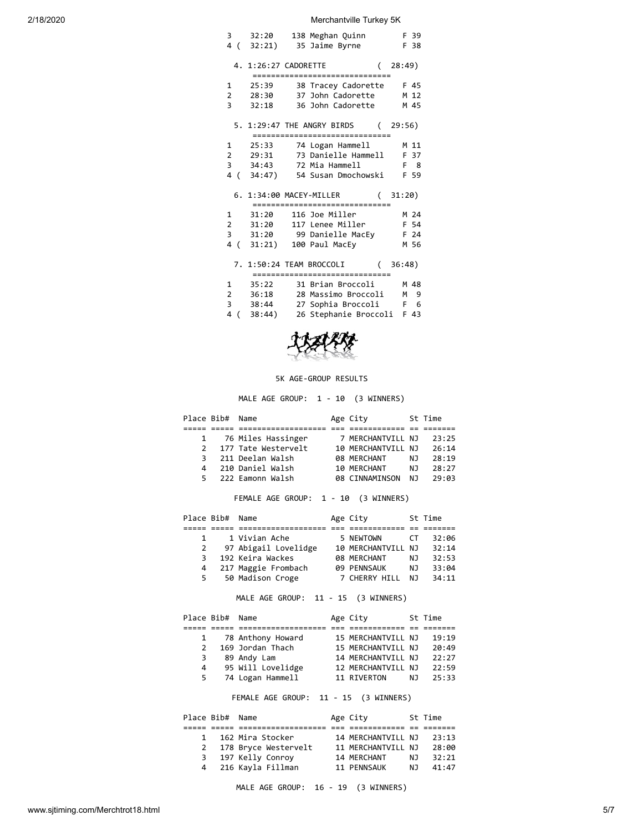| 138 Meghan Quinn<br>3 32:20<br>4 (32:21) 35 Jaime Byrne F 38           | F 39        |
|------------------------------------------------------------------------|-------------|
| 4. 1:26:27 CADORETTE                                                   | (28:49)     |
| _________________________________                                      |             |
| 1 25:39 38 Tracey Cadorette F 45                                       |             |
| 2 28:30 37 John Cadorette M 12<br>3 32:18 36 John Cadorette            |             |
|                                                                        | M 45        |
| 5. 1:29:47 THE ANGRY BIRDS (29:56)<br>================================ |             |
| 1 25:33 74 Logan Hammell                                               | M 11        |
| 2 29:31 73 Danielle Hammell F 37                                       |             |
| 3 34:43 72 Mia Hammell                                                 | $F \quad 8$ |
| 4 ( 34:47) 54 Susan Dmochowski F 59                                    |             |
|                                                                        |             |
| 6. 1:34:00 MACEY-MILLER (31:20)                                        |             |
| ===============================                                        |             |
| 1 31:20 116 Joe Miller                                                 | M 24        |
| 2 31:20 117 Lenee Miller                                               | F 54        |
| 3<br>31:20 99 Danielle MacEy F 24                                      |             |
| 4 (31:21) 100 Paul MacEy                                               | M 56        |
| 7. 1:50:24 TEAM BROCCOLI<br>================================           | (36:48)     |
| 1 35:22 31 Brian Broccoli M 48                                         |             |
| 2 36:18 28 Massimo Broccoli M                                          | 9           |
| 3 38:44 27 Sophia Broccoli F 6                                         |             |
| 4 (38:44) 26 Stephanie Broccoli F 43                                   |             |



### 5K AGE-GROUP RESULTS

MALE AGE GROUP: 1 - 10 (3 WINNERS)

|               | Place Bib# Name |                      | Age City           |     | St Time |
|---------------|-----------------|----------------------|--------------------|-----|---------|
|               |                 |                      |                    |     |         |
|               |                 | 1 76 Miles Hassinger | 7 MERCHANTVILL NJ  |     | 23:25   |
| $\mathcal{P}$ |                 | 177 Tate Westervelt  | 10 MERCHANTVILL NJ |     | 26:14   |
| 3.            |                 | 211 Deelan Walsh     | 08 MERCHANT        | NJ. | 28:19   |
| 4             |                 | 210 Daniel Walsh     | 10 MERCHANT        | NJ. | 28:27   |
| 5.            |                 | 222 Eamonn Walsh     | 08 CINNAMINSON     | N J | 29:03   |

FEMALE AGE GROUP: 1 - 10 (3 WINNERS)

|    | Place Bib# Name      | Age City           |           | St Time |
|----|----------------------|--------------------|-----------|---------|
|    |                      |                    |           |         |
|    | 1 Vivian Ache        | 5 NEWTOWN          | <b>CT</b> | 32:06   |
| 2  | 97 Abigail Lovelidge | 10 MERCHANTVILL NJ |           | 32:14   |
| 3  | 192 Keira Wackes     | 08 MERCHANT        | NJ.       | 32:53   |
| 4  | 217 Maggie Frombach  | <b>09 PENNSAUK</b> | NJ.       | 33:04   |
| 5. | 50 Madison Croge     | 7 CHERRY HILL      | N J       | 34:11   |

# MALE AGE GROUP: 11 - 15 (3 WINNERS)

|               | Place Bib# Name |                   | Age City           |     | St Time |
|---------------|-----------------|-------------------|--------------------|-----|---------|
|               |                 |                   |                    |     |         |
| $\mathbf{1}$  |                 | 78 Anthony Howard | 15 MERCHANTVILL NJ |     | 19:19   |
| $\mathcal{P}$ |                 | 169 Jordan Thach  | 15 MERCHANTVILL NJ |     | 20:49   |
| 3             |                 | 89 Andy Lam       | 14 MERCHANTVILL NJ |     | 22:27   |
| 4             |                 | 95 Will Lovelidge | 12 MERCHANTVILL NJ |     | 22:59   |
| 5             |                 | 74 Logan Hammell  | 11 RIVERTON        | NJ. | 25:33   |
|               |                 |                   |                    |     |         |

FEMALE AGE GROUP: 11 - 15 (3 WINNERS)

|              | Place Bib# Name |                      | Age City           |     | St Time |
|--------------|-----------------|----------------------|--------------------|-----|---------|
|              |                 |                      |                    |     |         |
| $\mathbf{1}$ |                 | 162 Mira Stocker     | 14 MERCHANTVILL NJ |     | 23:13   |
| 2            |                 | 178 Bryce Westervelt | 11 MERCHANTVILL NJ |     | 28:00   |
| 3            |                 | 197 Kelly Conroy     | 14 MERCHANT        | NJ. | 32:21   |
|              |                 | 4 216 Kayla Fillman  | 11 PENNSAUK        | N J | 41:47   |

MALE AGE GROUP: 16 - 19 (3 WINNERS)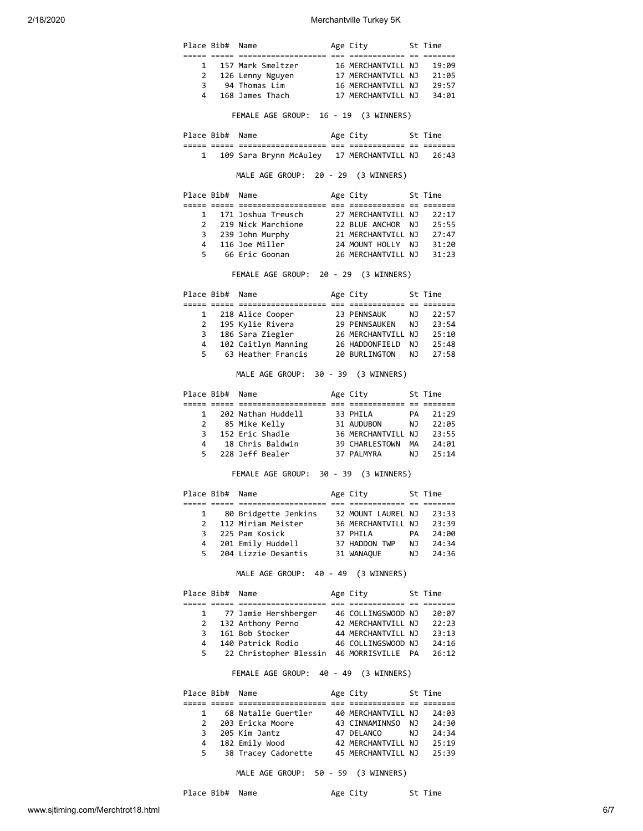|              |                 | Place Bib# Name                                                                                                                                                                                                    | Age City 5t Time         |       |
|--------------|-----------------|--------------------------------------------------------------------------------------------------------------------------------------------------------------------------------------------------------------------|--------------------------|-------|
|              |                 | 1 157 Mark Smeltzer 16 MERCHANTVILL NJ 19:09                                                                                                                                                                       |                          |       |
|              |                 |                                                                                                                                                                                                                    |                          |       |
|              |                 | 2 126 Lenny Nguyen 17 MERCHANTVILL NJ 21:05<br>3 94 Thomas Lim 16 MERCHANTVILL NJ 29:57                                                                                                                            |                          |       |
|              | $\overline{4}$  | 168 James Thach 17 MERCHANTVILL NJ 34:01                                                                                                                                                                           |                          |       |
|              |                 |                                                                                                                                                                                                                    |                          |       |
|              |                 | FEMALE AGE GROUP: 16 - 19 (3 WINNERS)                                                                                                                                                                              |                          |       |
|              |                 | Place Bib# Name                                                                                                                                                                                                    | Age City     St Time     |       |
|              |                 | 1 109 Sara Brynn McAuley 17 MERCHANTVILL NJ 26:43                                                                                                                                                                  |                          |       |
|              |                 | MALE AGE GROUP: 20 - 29 (3 WINNERS)                                                                                                                                                                                |                          |       |
|              |                 | Place Bib# Name                                                                                                                                                                                                    | Age City 5t Time         |       |
|              |                 | 1 171 Joshua Treusch 27 MERCHANTVILL NJ                                                                                                                                                                            |                          | 22:17 |
|              |                 |                                                                                                                                                                                                                    |                          |       |
|              |                 |                                                                                                                                                                                                                    |                          |       |
|              |                 |                                                                                                                                                                                                                    |                          |       |
|              |                 | 2 219 Nick Marchione<br>22 BLUE ANCHOR NJ 25:55<br>3 239 John Murphy<br>21 MERCHANTVILL NJ 27:47<br>4 116 Joe Miller 24 MOUNT HOLLY NJ 31:20<br>5 66 Eric Goonan 26 MERCHANTVILL NJ 31:23                          |                          |       |
|              |                 | FEMALE AGE GROUP: 20 - 29 (3 WINNERS)                                                                                                                                                                              |                          |       |
|              |                 | Place Bib# Name                                                                                                                                                                                                    | Age City 5t Time         |       |
|              |                 |                                                                                                                                                                                                                    |                          |       |
|              |                 | 1 218 Alice Cooper 23 PENNSAUK 10 22:57<br>2 195 Kylie Rivera 29 PENNSAUKEN 10 23:54<br>3 186 Sara Ziegler 26 MERCHANTVILL NJ 25:10                                                                                |                          |       |
|              |                 |                                                                                                                                                                                                                    |                          |       |
|              |                 |                                                                                                                                                                                                                    |                          |       |
|              |                 |                                                                                                                                                                                                                    |                          |       |
|              |                 | 4 102 Caitlyn Manning 26 HADDONFIELD NJ 25:48<br>5 63 Heather Francis 20 BURLINGTON NJ 27:58                                                                                                                       |                          |       |
|              |                 | MALE AGE GROUP: 30 - 39 (3 WINNERS)                                                                                                                                                                                |                          |       |
|              |                 | Place Bib# Name                                                                                                                                                                                                    | Age City 5t Time         |       |
|              |                 |                                                                                                                                                                                                                    |                          |       |
|              |                 |                                                                                                                                                                                                                    |                          |       |
|              |                 |                                                                                                                                                                                                                    |                          |       |
|              |                 |                                                                                                                                                                                                                    |                          |       |
|              |                 |                                                                                                                                                                                                                    |                          |       |
|              |                 |                                                                                                                                                                                                                    |                          |       |
|              |                 | 1 202 Nathan Huddell 33 PHILA PA 21:29<br>2 85 Mike Kelly 31 AUDUBON NJ 22:05<br>3 152 Eric Shadle 36 MERCHANTVILL NJ 23:55<br>4 18 Chris Baldwin 39 CHARLESTOWN MA 24:01<br>5 228 Jeff Bealer 37 PALMYRA NJ 25:14 |                          |       |
|              |                 | FEMALE AGE GROUP: 30 - 39 (3 WINNERS)                                                                                                                                                                              |                          |       |
|              |                 | Place Bib# Name                                                                                                                                                                                                    | Age City 5t Time         |       |
|              |                 |                                                                                                                                                                                                                    |                          |       |
| $\mathbf{1}$ |                 | 80 Bridgette Jenkins    32 MOUNT LAUREL NJ                                                                                                                                                                         |                          |       |
|              |                 | 2 112 Miriam Meister 36 MERCHANTVILL NJ 23:39                                                                                                                                                                      |                          |       |
|              |                 |                                                                                                                                                                                                                    |                          |       |
|              |                 |                                                                                                                                                                                                                    |                          |       |
|              |                 | 5 204 Lizzie Desantis 31 WANAQUE NJ 24:36                                                                                                                                                                          |                          |       |
|              |                 | MALE AGE GROUP: 40 - 49 (3 WINNERS)                                                                                                                                                                                |                          |       |
|              | Place Bib# Name |                                                                                                                                                                                                                    | Age City 5t Time         |       |
|              |                 | 1 77 Jamie Hershberger 46 COLLINGSWOOD NJ 20:07                                                                                                                                                                    |                          |       |
|              |                 |                                                                                                                                                                                                                    |                          |       |
|              |                 |                                                                                                                                                                                                                    |                          |       |
|              |                 |                                                                                                                                                                                                                    |                          | 23:33 |
|              |                 | 2 132 Anthony Perno 42 MERCHANTVILL NJ 22:23<br>3 161 Bob Stocker 44 MERCHANTVILL NJ 23:13<br>4 140 Patrick Rodio 46 COLLINGSWOOD NJ 24:16<br>5 22 Christopher Blessin 46 MORRISVILLE PA 26:12                     |                          |       |
|              |                 | FEMALE AGE GROUP: 40 - 49 (3 WINNERS)                                                                                                                                                                              |                          |       |
|              | Place Bib# Name |                                                                                                                                                                                                                    | Age City 5t Time         |       |
|              |                 |                                                                                                                                                                                                                    |                          |       |
|              |                 |                                                                                                                                                                                                                    |                          |       |
|              |                 | 1 68 Natalie Guertler 40 MERCHANTVILL NJ 24:03                                                                                                                                                                     |                          |       |
|              |                 |                                                                                                                                                                                                                    |                          |       |
|              |                 | 4 182 Emily Wood                                                                                                                                                                                                   | 42 MERCHANTVILL NJ 25:19 |       |

www.sjtiming.com/Merchtrot18.html 6/7